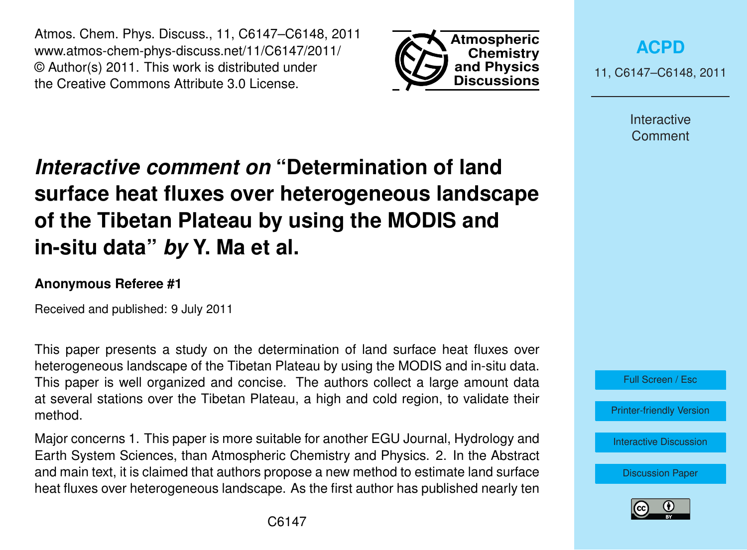Atmos. Chem. Phys. Discuss., 11, C6147–C6148, 2011 www.atmos-chem-phys-discuss.net/11/C6147/2011/ © Author(s) 2011. This work is distributed under the Creative Commons Attribute 3.0 License.



**[ACPD](http://www.atmos-chem-phys-discuss.net)**

11, C6147–C6148, 2011

Interactive **Comment** 

## *Interactive comment on* **"Determination of land surface heat fluxes over heterogeneous landscape of the Tibetan Plateau by using the MODIS and in-situ data"** *by* **Y. Ma et al.**

## **Anonymous Referee #1**

Received and published: 9 July 2011

This paper presents a study on the determination of land surface heat fluxes over heterogeneous landscape of the Tibetan Plateau by using the MODIS and in-situ data. This paper is well organized and concise. The authors collect a large amount data at several stations over the Tibetan Plateau, a high and cold region, to validate their method.

Major concerns 1. This paper is more suitable for another EGU Journal, Hydrology and Earth System Sciences, than Atmospheric Chemistry and Physics. 2. In the Abstract and main text, it is claimed that authors propose a new method to estimate land surface heat fluxes over heterogeneous landscape. As the first author has published nearly ten